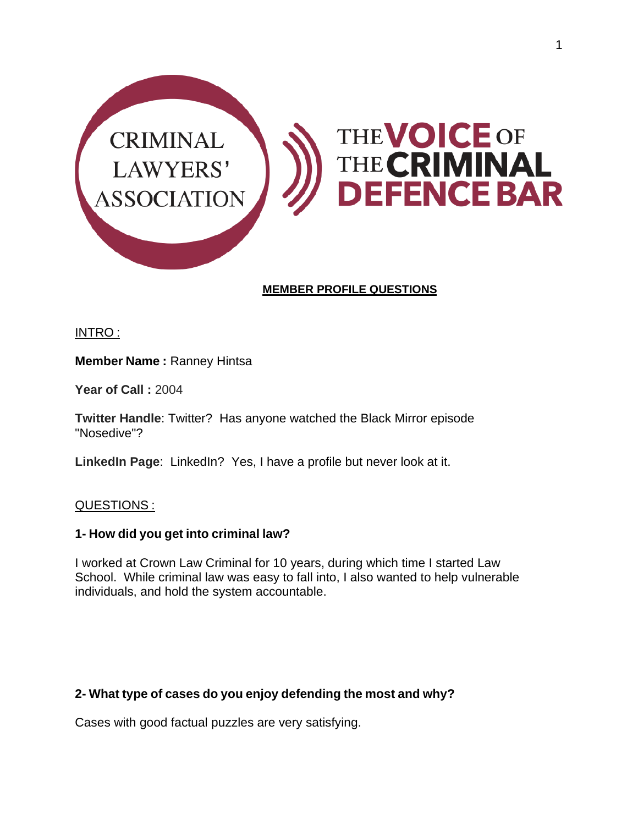

# **MEMBER PROFILE QUESTIONS**

INTRO :

**Member Name :** Ranney Hintsa

**Year of Call :** 2004

**Twitter Handle**: Twitter? Has anyone watched the Black Mirror episode "Nosedive"?

**LinkedIn Page**: LinkedIn? Yes, I have a profile but never look at it.

## QUESTIONS :

#### **1- How did you get into criminal law?**

I worked at Crown Law Criminal for 10 years, during which time I started Law School. While criminal law was easy to fall into, I also wanted to help vulnerable individuals, and hold the system accountable.

## **2- What type of cases do you enjoy defending the most and why?**

Cases with good factual puzzles are very satisfying.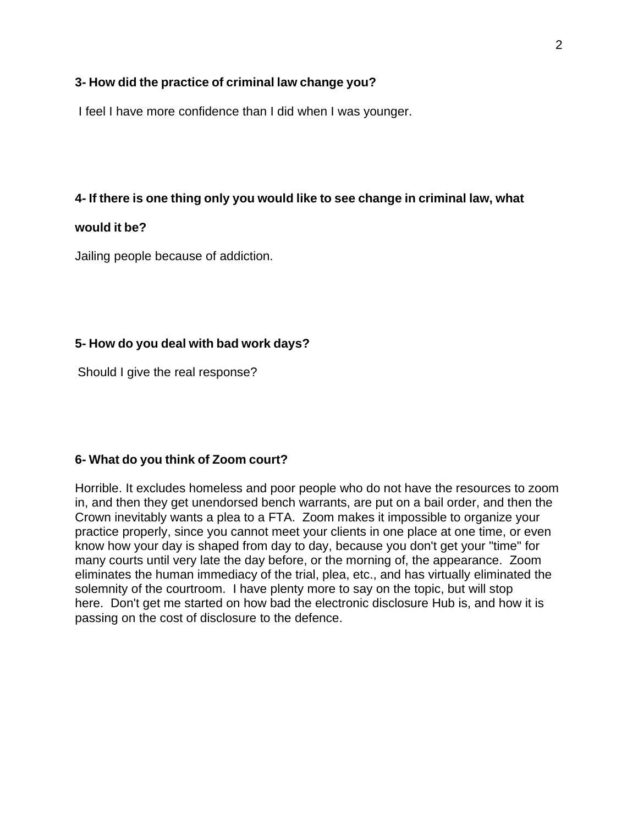#### **3- How did the practice of criminal law change you?**

I feel I have more confidence than I did when I was younger.

#### **4- If there is one thing only you would like to see change in criminal law, what**

#### **would it be?**

Jailing people because of addiction.

#### **5- How do you deal with bad work days?**

Should I give the real response?

#### **6- What do you think of Zoom court?**

Horrible. It excludes homeless and poor people who do not have the resources to zoom in, and then they get unendorsed bench warrants, are put on a bail order, and then the Crown inevitably wants a plea to a FTA. Zoom makes it impossible to organize your practice properly, since you cannot meet your clients in one place at one time, or even know how your day is shaped from day to day, because you don't get your "time" for many courts until very late the day before, or the morning of, the appearance. Zoom eliminates the human immediacy of the trial, plea, etc., and has virtually eliminated the solemnity of the courtroom. I have plenty more to say on the topic, but will stop here. Don't get me started on how bad the electronic disclosure Hub is, and how it is passing on the cost of disclosure to the defence.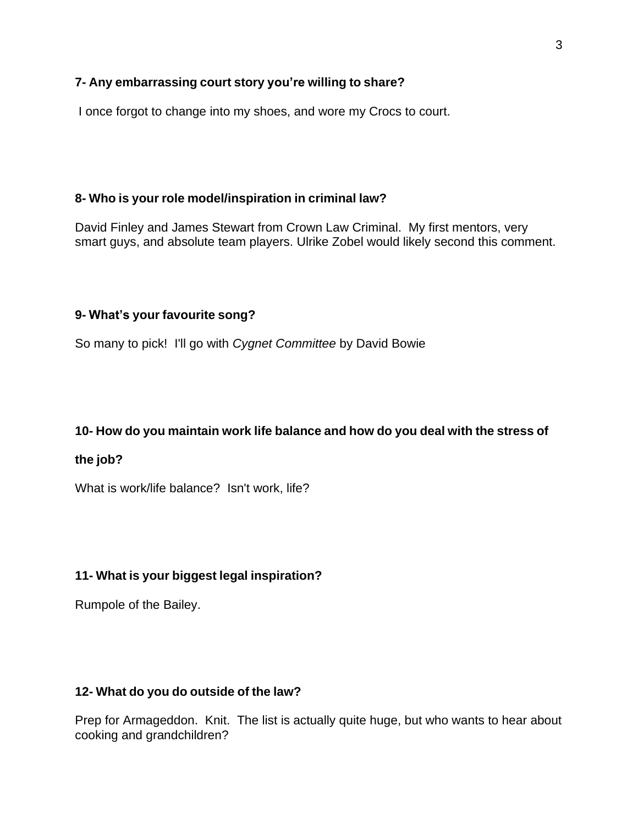# **7- Any embarrassing court story you're willing to share?**

I once forgot to change into my shoes, and wore my Crocs to court.

# **8- Who is your role model/inspiration in criminal law?**

David Finley and James Stewart from Crown Law Criminal. My first mentors, very smart guys, and absolute team players. Ulrike Zobel would likely second this comment.

## **9- What's your favourite song?**

So many to pick! I'll go with *Cygnet Committee* by David Bowie

## **10- How do you maintain work life balance and how do you deal with the stress of**

## **the job?**

What is work/life balance? Isn't work, life?

## **11- What is your biggest legal inspiration?**

Rumpole of the Bailey.

## **12- What do you do outside of the law?**

Prep for Armageddon. Knit. The list is actually quite huge, but who wants to hear about cooking and grandchildren?